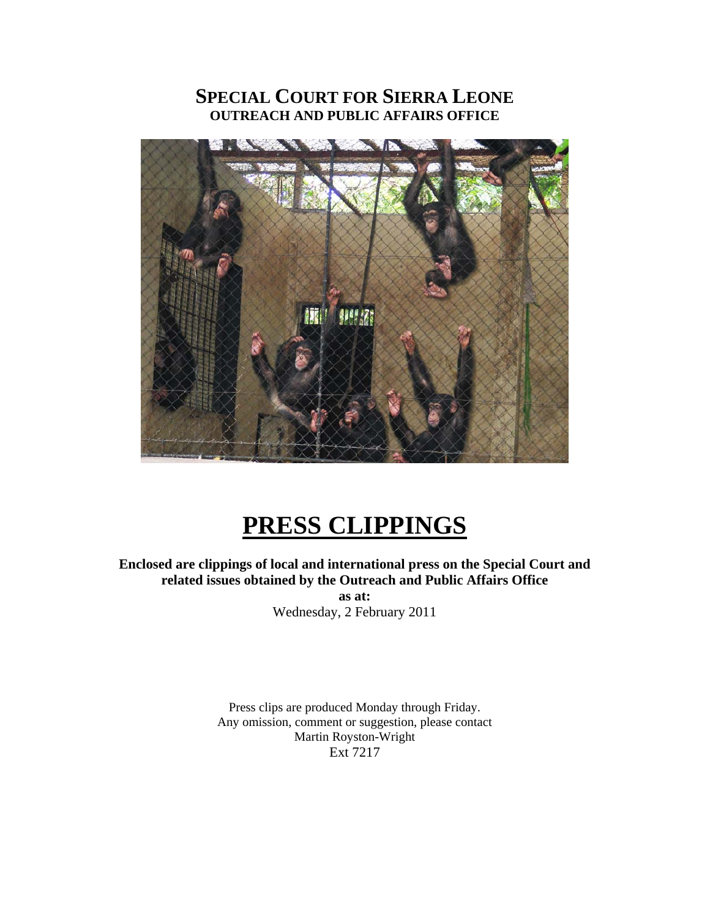## **SPECIAL COURT FOR SIERRA LEONE OUTREACH AND PUBLIC AFFAIRS OFFICE**



# **PRESS CLIPPINGS**

**Enclosed are clippings of local and international press on the Special Court and related issues obtained by the Outreach and Public Affairs Office as at:** 

Wednesday, 2 February 2011

Press clips are produced Monday through Friday. Any omission, comment or suggestion, please contact Martin Royston-Wright Ext 7217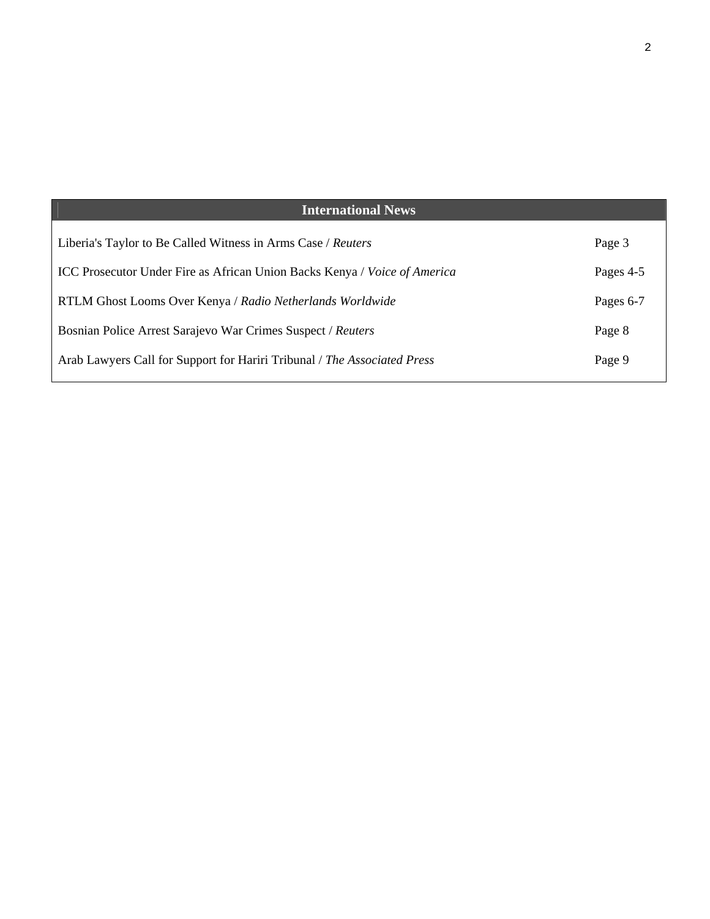| <b>International News</b>                                                        |           |
|----------------------------------------------------------------------------------|-----------|
| Liberia's Taylor to Be Called Witness in Arms Case / Reuters                     | Page 3    |
| <b>ICC Prosecutor Under Fire as African Union Backs Kenya / Voice of America</b> | Pages 4-5 |
| RTLM Ghost Looms Over Kenya / Radio Netherlands Worldwide                        | Pages 6-7 |
| Bosnian Police Arrest Sarajevo War Crimes Suspect / Reuters                      | Page 8    |
| Arab Lawyers Call for Support for Hariri Tribunal / The Associated Press         | Page 9    |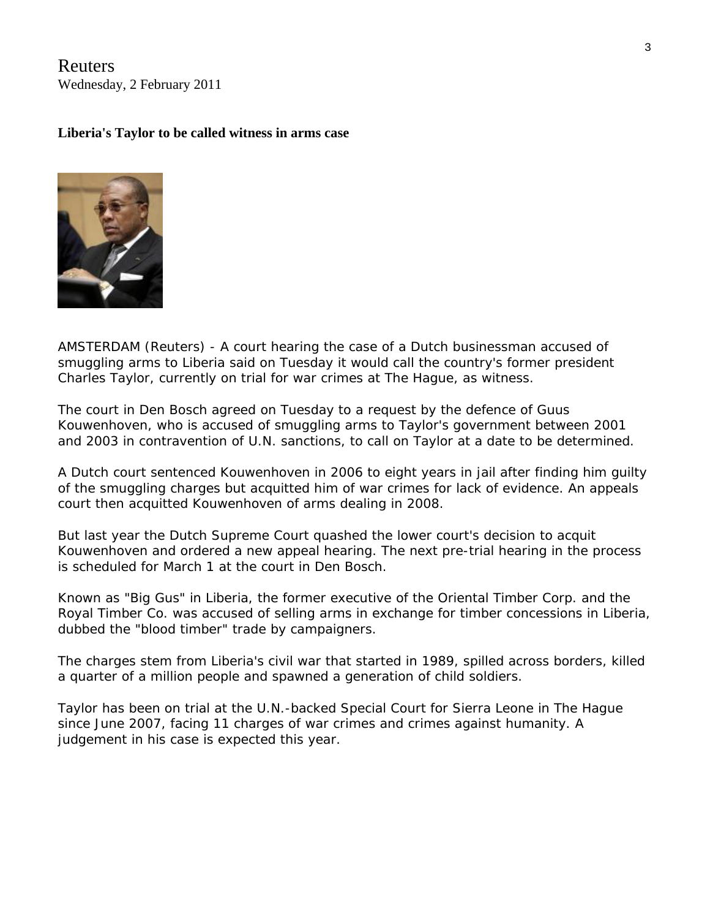Reuters Wednesday, 2 February 2011

### **Liberia's Taylor to be called witness in arms case**



AMSTERDAM (Reuters) - A court hearing the case of a Dutch businessman accused of smuggling arms to Liberia said on Tuesday it would call the country's former president Charles Taylor, currently on trial for war crimes at The Hague, as witness.

The court in Den Bosch agreed on Tuesday to a request by the defence of Guus Kouwenhoven, who is accused of smuggling arms to Taylor's government between 2001 and 2003 in contravention of U.N. sanctions, to call on Taylor at a date to be determined.

A Dutch court sentenced Kouwenhoven in 2006 to eight years in jail after finding him guilty of the smuggling charges but acquitted him of war crimes for lack of evidence. An appeals court then acquitted Kouwenhoven of arms dealing in 2008.

But last year the Dutch Supreme Court quashed the lower court's decision to acquit Kouwenhoven and ordered a new appeal hearing. The next pre-trial hearing in the process is scheduled for March 1 at the court in Den Bosch.

Known as "Big Gus" in Liberia, the former executive of the Oriental Timber Corp. and the Royal Timber Co. was accused of selling arms in exchange for timber concessions in Liberia, dubbed the "blood timber" trade by campaigners.

The charges stem from Liberia's civil war that started in 1989, spilled across borders, killed a quarter of a million people and spawned a generation of child soldiers.

Taylor has been on trial at the U.N.-backed Special Court for Sierra Leone in The Hague since June 2007, facing 11 charges of war crimes and crimes against humanity. A judgement in his case is expected this year.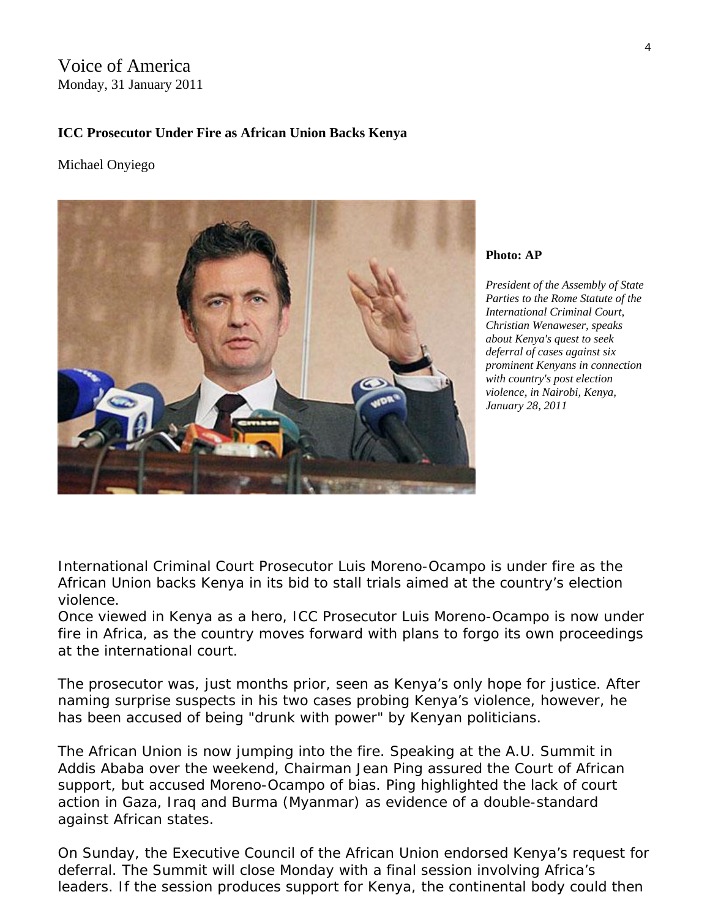Voice of America Monday, 31 January 2011

### **ICC Prosecutor Under Fire as African Union Backs Kenya**

### Michael Onyiego



#### **Photo: AP**

*President of the Assembly of State Parties to the Rome Statute of the International Criminal Court, Christian Wenaweser, speaks about Kenya's quest to seek deferral of cases against six prominent Kenyans in connection with country's post election violence, in Nairobi, Kenya, January 28, 2011* 

International Criminal Court Prosecutor Luis Moreno-Ocampo is under fire as the African Union backs Kenya in its bid to stall trials aimed at the country's election violence.

Once viewed in Kenya as a hero, ICC Prosecutor Luis Moreno-Ocampo is now under fire in Africa, as the country moves forward with plans to forgo its own proceedings at the international court.

The prosecutor was, just months prior, seen as Kenya's only hope for justice. After naming surprise suspects in his two cases probing Kenya's violence, however, he has been accused of being "drunk with power" by Kenyan politicians.

The African Union is now jumping into the fire. Speaking at the A.U. Summit in Addis Ababa over the weekend, Chairman Jean Ping assured the Court of African support, but accused Moreno-Ocampo of bias. Ping highlighted the lack of court action in Gaza, Iraq and Burma (Myanmar) as evidence of a double-standard against African states.

On Sunday, the Executive Council of the African Union endorsed Kenya's request for deferral. The Summit will close Monday with a final session involving Africa's leaders. If the session produces support for Kenya, the continental body could then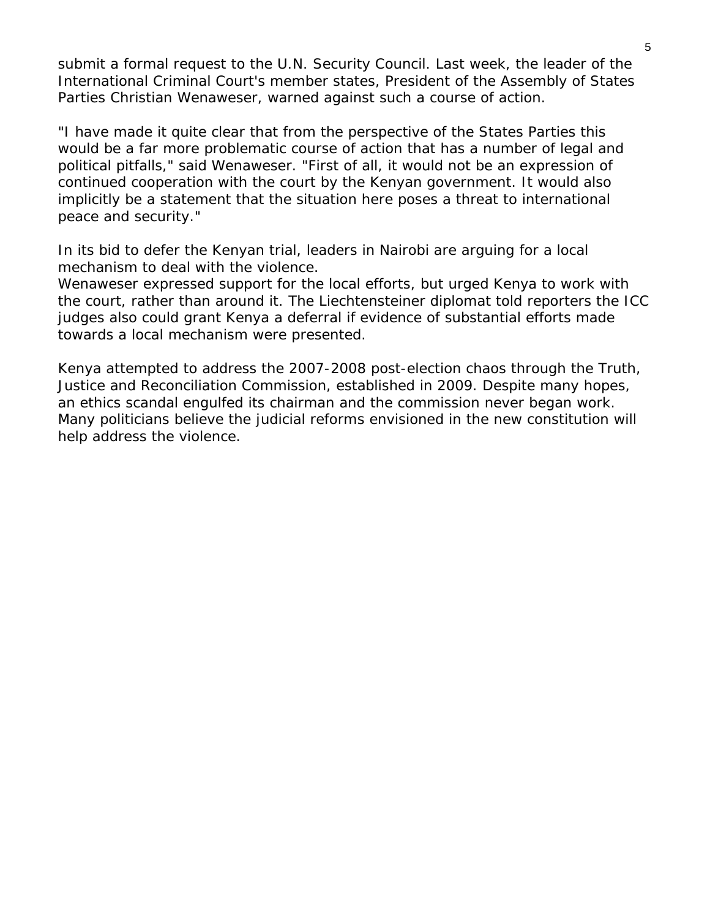submit a formal request to the U.N. Security Council. Last week, the leader of the International Criminal Court's member states, President of the Assembly of States Parties Christian Wenaweser, warned against such a course of action.

"I have made it quite clear that from the perspective of the States Parties this would be a far more problematic course of action that has a number of legal and political pitfalls," said Wenaweser. "First of all, it would not be an expression of continued cooperation with the court by the Kenyan government. It would also implicitly be a statement that the situation here poses a threat to international peace and security."

In its bid to defer the Kenyan trial, leaders in Nairobi are arguing for a local mechanism to deal with the violence.

Wenaweser expressed support for the local efforts, but urged Kenya to work with the court, rather than around it. The Liechtensteiner diplomat told reporters the ICC judges also could grant Kenya a deferral if evidence of substantial efforts made towards a local mechanism were presented.

Kenya attempted to address the 2007-2008 post-election chaos through the Truth, Justice and Reconciliation Commission, established in 2009. Despite many hopes, an ethics scandal engulfed its chairman and the commission never began work. Many politicians believe the judicial reforms envisioned in the new constitution will help address the violence.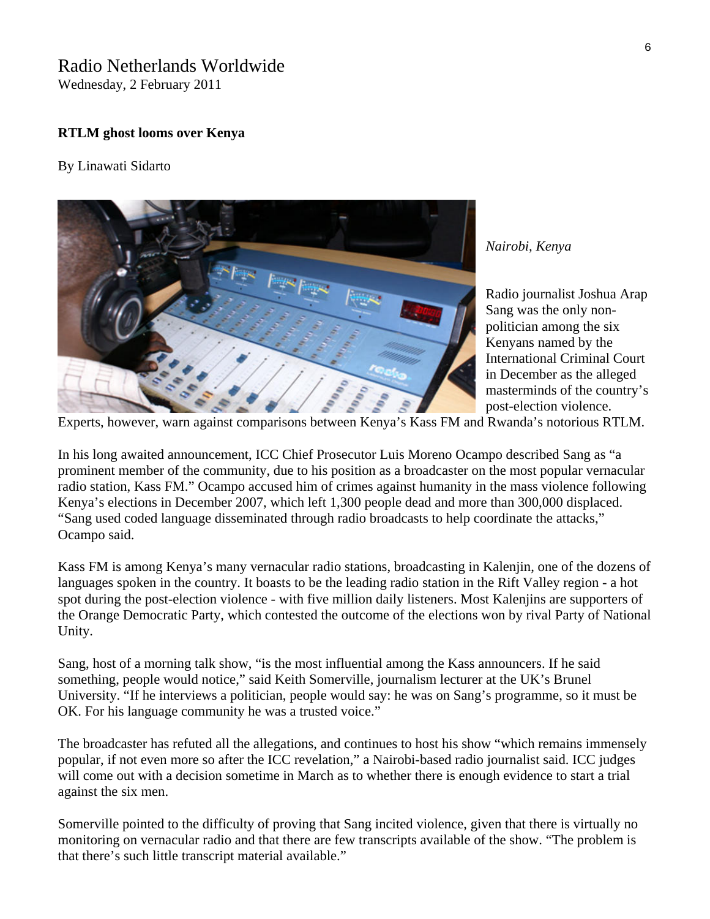### Radio Netherlands Worldwide

Wednesday, 2 February 2011

### **RTLM ghost looms over Kenya**

#### By Linawati Sidarto



*Nairobi, Kenya* 

Radio journalist Joshua Arap Sang was the only nonpolitician among the six Kenyans named by the International Criminal Court in December as the alleged masterminds of the country's post-election violence.

Experts, however, warn against comparisons between Kenya's Kass FM and Rwanda's notorious RTLM.

In his long awaited announcement, ICC Chief Prosecutor Luis Moreno Ocampo described Sang as "a prominent member of the community, due to his position as a broadcaster on the most popular vernacular radio station, Kass FM." Ocampo accused him of crimes against humanity in the mass violence following Kenya's elections in December 2007, which left 1,300 people dead and more than 300,000 displaced. "Sang used coded language disseminated through radio broadcasts to help coordinate the attacks," Ocampo said.

Kass FM is among Kenya's many vernacular radio stations, broadcasting in Kalenjin, one of the dozens of languages spoken in the country. It boasts to be the leading radio station in the Rift Valley region - a hot spot during the post-election violence - with five million daily listeners. Most Kalenjins are supporters of the Orange Democratic Party, which contested the outcome of the elections won by rival Party of National Unity.

Sang, host of a morning talk show, "is the most influential among the Kass announcers. If he said something, people would notice," said Keith Somerville, journalism lecturer at the UK's Brunel University. "If he interviews a politician, people would say: he was on Sang's programme, so it must be OK. For his language community he was a trusted voice."

The broadcaster has refuted all the allegations, and continues to host his show "which remains immensely popular, if not even more so after the ICC revelation," a Nairobi-based radio journalist said. ICC judges will come out with a decision sometime in March as to whether there is enough evidence to start a trial against the six men.

Somerville pointed to the difficulty of proving that Sang incited violence, given that there is virtually no monitoring on vernacular radio and that there are few transcripts available of the show. "The problem is that there's such little transcript material available."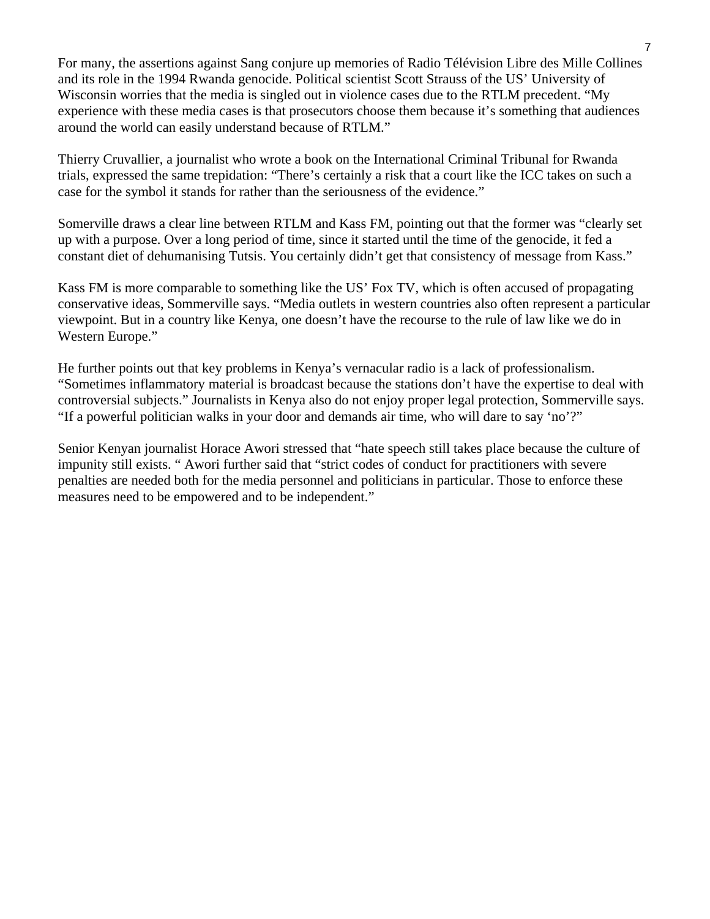For many, the assertions against Sang conjure up memories of Radio Télévision Libre des Mille Collines and its role in the 1994 Rwanda genocide. Political scientist Scott Strauss of the US' University of Wisconsin worries that the media is singled out in violence cases due to the RTLM precedent. "My experience with these media cases is that prosecutors choose them because it's something that audiences around the world can easily understand because of RTLM."

Thierry Cruvallier, a journalist who wrote a book on the International Criminal Tribunal for Rwanda trials, expressed the same trepidation: "There's certainly a risk that a court like the ICC takes on such a case for the symbol it stands for rather than the seriousness of the evidence."

Somerville draws a clear line between RTLM and Kass FM, pointing out that the former was "clearly set up with a purpose. Over a long period of time, since it started until the time of the genocide, it fed a constant diet of dehumanising Tutsis. You certainly didn't get that consistency of message from Kass."

Kass FM is more comparable to something like the US' Fox TV, which is often accused of propagating conservative ideas, Sommerville says. "Media outlets in western countries also often represent a particular viewpoint. But in a country like Kenya, one doesn't have the recourse to the rule of law like we do in Western Europe."

He further points out that key problems in Kenya's vernacular radio is a lack of professionalism. "Sometimes inflammatory material is broadcast because the stations don't have the expertise to deal with controversial subjects." Journalists in Kenya also do not enjoy proper legal protection, Sommerville says. "If a powerful politician walks in your door and demands air time, who will dare to say 'no'?"

Senior Kenyan journalist Horace Awori stressed that "hate speech still takes place because the culture of impunity still exists. " Awori further said that "strict codes of conduct for practitioners with severe penalties are needed both for the media personnel and politicians in particular. Those to enforce these measures need to be empowered and to be independent."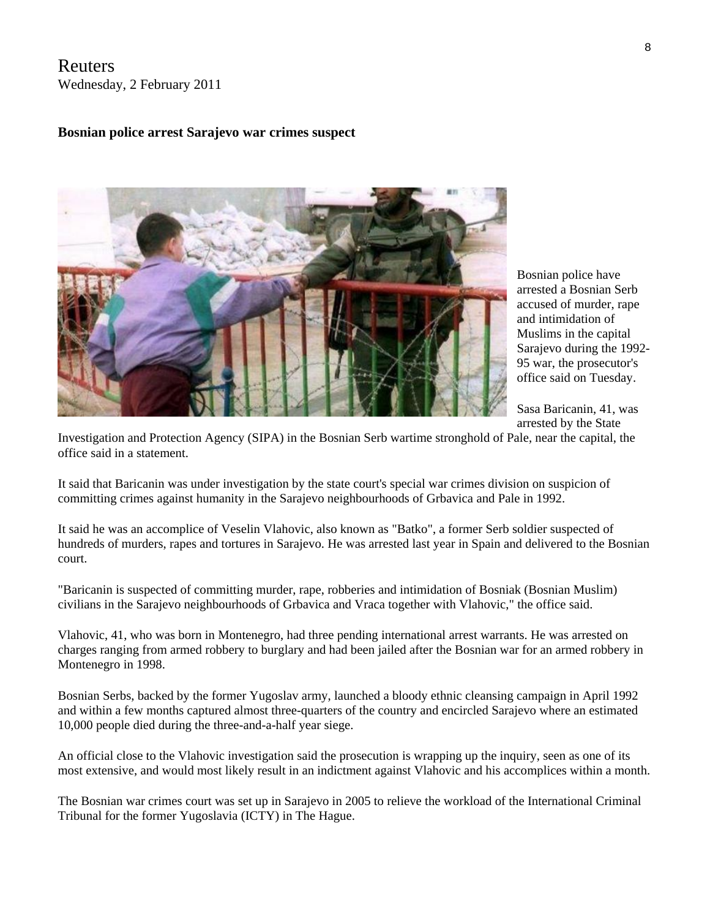Reuters Wednesday, 2 February 2011

### **Bosnian police arrest Sarajevo war crimes suspect**



Bosnian police have arrested a Bosnian Serb accused of murder, rape and intimidation of Muslims in the capital Sarajevo during the 1992- 95 war, the prosecutor's office said on Tuesday.

Sasa Baricanin, 41, was arrested by the State

Investigation and Protection Agency (SIPA) in the Bosnian Serb wartime stronghold of Pale, near the capital, the office said in a statement.

It said that Baricanin was under investigation by the state court's special war crimes division on suspicion of committing crimes against humanity in the Sarajevo neighbourhoods of Grbavica and Pale in 1992.

It said he was an accomplice of Veselin Vlahovic, also known as "Batko", a former Serb soldier suspected of hundreds of murders, rapes and tortures in Sarajevo. He was arrested last year in Spain and delivered to the Bosnian court.

"Baricanin is suspected of committing murder, rape, robberies and intimidation of Bosniak (Bosnian Muslim) civilians in the Sarajevo neighbourhoods of Grbavica and Vraca together with Vlahovic," the office said.

Vlahovic, 41, who was born in Montenegro, had three pending international arrest warrants. He was arrested on charges ranging from armed robbery to burglary and had been jailed after the Bosnian war for an armed robbery in Montenegro in 1998.

Bosnian Serbs, backed by the former Yugoslav army, launched a bloody ethnic cleansing campaign in April 1992 and within a few months captured almost three-quarters of the country and encircled Sarajevo where an estimated 10,000 people died during the three-and-a-half year siege.

An official close to the Vlahovic investigation said the prosecution is wrapping up the inquiry, seen as one of its most extensive, and would most likely result in an indictment against Vlahovic and his accomplices within a month.

The Bosnian war crimes court was set up in Sarajevo in 2005 to relieve the workload of the International Criminal Tribunal for the former Yugoslavia (ICTY) in The Hague.